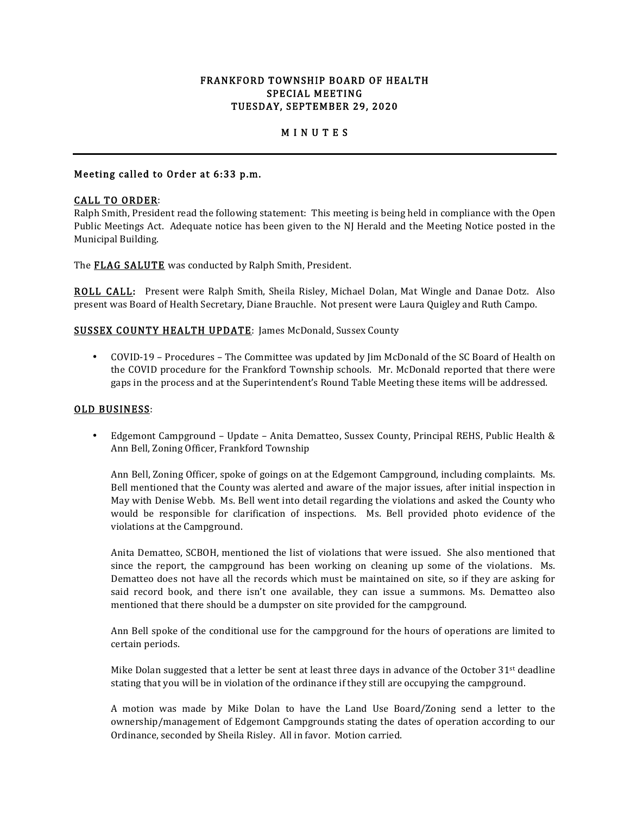## FRANKFORD TOWNSHIP BOARD OF HEALTH SPECIAL MEETING TUESDAY, SEPTEMBER 29, 2020

# M I N U T E S

## Meeting called to Order at 6:33 p.m.

## CALL TO ORDER:

Ralph Smith, President read the following statement: This meeting is being held in compliance with the Open Public Meetings Act. Adequate notice has been given to the NJ Herald and the Meeting Notice posted in the Municipal Building.

The **FLAG SALUTE** was conducted by Ralph Smith, President.

ROLL CALL: Present were Ralph Smith, Sheila Risley, Michael Dolan, Mat Wingle and Danae Dotz. Also present was Board of Health Secretary, Diane Brauchle. Not present were Laura Quigley and Ruth Campo.

## SUSSEX COUNTY HEALTH UPDATE: James McDonald, Sussex County

• COVID-19 – Procedures – The Committee was updated by Jim McDonald of the SC Board of Health on the COVID procedure for the Frankford Township schools. Mr. McDonald reported that there were gaps in the process and at the Superintendent's Round Table Meeting these items will be addressed.

#### OLD BUSINESS:

• Edgemont Campground – Update – Anita Dematteo, Sussex County, Principal REHS, Public Health & Ann Bell, Zoning Officer, Frankford Township

Ann Bell, Zoning Officer, spoke of goings on at the Edgemont Campground, including complaints. Ms. Bell mentioned that the County was alerted and aware of the major issues, after initial inspection in May with Denise Webb. Ms. Bell went into detail regarding the violations and asked the County who would be responsible for clarification of inspections. Ms. Bell provided photo evidence of the violations at the Campground.

Anita Dematteo, SCBOH, mentioned the list of violations that were issued. She also mentioned that since the report, the campground has been working on cleaning up some of the violations. Ms. Dematteo does not have all the records which must be maintained on site, so if they are asking for said record book, and there isn't one available, they can issue a summons. Ms. Dematteo also mentioned that there should be a dumpster on site provided for the campground.

Ann Bell spoke of the conditional use for the campground for the hours of operations are limited to certain periods.

Mike Dolan suggested that a letter be sent at least three days in advance of the October  $31<sup>st</sup>$  deadline stating that you will be in violation of the ordinance if they still are occupying the campground.

A motion was made by Mike Dolan to have the Land Use Board/Zoning send a letter to the ownership/management of Edgemont Campgrounds stating the dates of operation according to our Ordinance, seconded by Sheila Risley. All in favor. Motion carried.